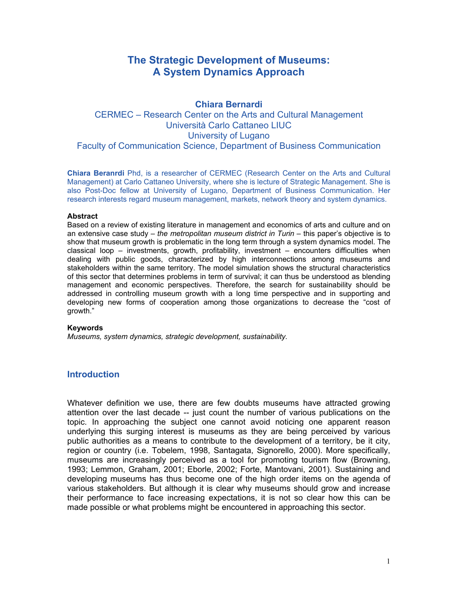# **The Strategic Development of Museums: A System Dynamics Approach**

# **Chiara Bernardi**  CERMEC – Research Center on the Arts and Cultural Management Università Carlo Cattaneo LIUC University of Lugano Faculty of Communication Science, Department of Business Communication

**Chiara Beranrdi** Phd, is a researcher of CERMEC (Research Center on the Arts and Cultural Management) at Carlo Cattaneo University, where she is lecture of Strategic Management. She is also Post-Doc fellow at University of Lugano, Department of Business Communication. Her research interests regard museum management, markets, network theory and system dynamics.

#### **Abstract**

Based on a review of existing literature in management and economics of arts and culture and on an extensive case study – *the metropolitan museum district in Turin* – this paper's objective is to show that museum growth is problematic in the long term through a system dynamics model. The classical loop – investments, growth, profitability, investment – encounters difficulties when dealing with public goods, characterized by high interconnections among museums and stakeholders within the same territory. The model simulation shows the structural characteristics of this sector that determines problems in term of survival; it can thus be understood as blending management and economic perspectives. Therefore, the search for sustainability should be addressed in controlling museum growth with a long time perspective and in supporting and developing new forms of cooperation among those organizations to decrease the "cost of growth."

#### **Keywords**

*Museums, system dynamics, strategic development, sustainability.* 

#### **Introduction**

Whatever definition we use, there are few doubts museums have attracted growing attention over the last decade -- just count the number of various publications on the topic. In approaching the subject one cannot avoid noticing one apparent reason underlying this surging interest is museums as they are being perceived by various public authorities as a means to contribute to the development of a territory, be it city, region or country (i.e. Tobelem, 1998, Santagata, Signorello, 2000). More specifically, museums are increasingly perceived as a tool for promoting tourism flow (Browning, 1993; Lemmon, Graham, 2001; Eborle, 2002; Forte, Mantovani, 2001). Sustaining and developing museums has thus become one of the high order items on the agenda of various stakeholders. But although it is clear why museums should grow and increase their performance to face increasing expectations, it is not so clear how this can be made possible or what problems might be encountered in approaching this sector.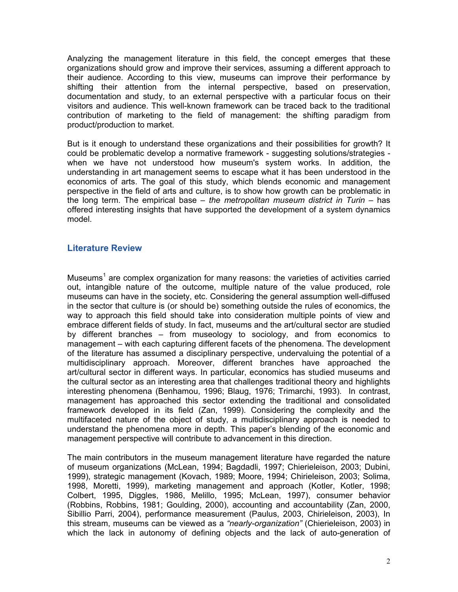Analyzing the management literature in this field, the concept emerges that these organizations should grow and improve their services, assuming a different approach to their audience. According to this view, museums can improve their performance by shifting their attention from the internal perspective, based on preservation, documentation and study, to an external perspective with a particular focus on their visitors and audience. This well-known framework can be traced back to the traditional contribution of marketing to the field of management: the shifting paradigm from product/production to market.

But is it enough to understand these organizations and their possibilities for growth? It could be problematic develop a normative framework - suggesting solutions/strategies when we have not understood how museum's system works. In addition, the understanding in art management seems to escape what it has been understood in the economics of arts. The goal of this study, which blends economic and management perspective in the field of arts and culture, is to show how growth can be problematic in the long term. The empirical base – *the metropolitan museum district in Turin* – has offered interesting insights that have supported the development of a system dynamics model.

### **Literature Review**

Museums<sup>[1](#page-21-0)</sup> are complex organization for many reasons: the varieties of activities carried out, intangible nature of the outcome, multiple nature of the value produced, role museums can have in the society, etc. Considering the general assumption well-diffused in the sector that culture is (or should be) something outside the rules of economics, the way to approach this field should take into consideration multiple points of view and embrace different fields of study. In fact, museums and the art/cultural sector are studied by different branches – from museology to sociology, and from economics to management – with each capturing different facets of the phenomena. The development of the literature has assumed a disciplinary perspective, undervaluing the potential of a multidisciplinary approach. Moreover, different branches have approached the art/cultural sector in different ways. In particular, economics has studied museums and the cultural sector as an interesting area that challenges traditional theory and highlights interesting phenomena (Benhamou, 1996; Blaug, 1976; Trimarchi, 1993). In contrast, management has approached this sector extending the traditional and consolidated framework developed in its field (Zan, 1999). Considering the complexity and the multifaceted nature of the object of study, a multidisciplinary approach is needed to understand the phenomena more in depth. This paper's blending of the economic and management perspective will contribute to advancement in this direction.

The main contributors in the museum management literature have regarded the nature of museum organizations (McLean, 1994; Bagdadli, 1997; Chierieleison, 2003; Dubini, 1999), strategic management (Kovach, 1989; Moore, 1994; Chirieleison, 2003; Solima, 1998, Moretti, 1999), marketing management and approach (Kotler, Kotler, 1998; Colbert, 1995, Diggles, 1986, Melillo, 1995; McLean, 1997), consumer behavior (Robbins, Robbins, 1981; Goulding, 2000), accounting and accountability (Zan, 2000, Sibillio Parri, 2004), performance measurement (Paulus, 2003, Chirieleison, 2003), In this stream, museums can be viewed as a *"nearly-organization"* (Chierieleison, 2003) in which the lack in autonomy of defining objects and the lack of auto-generation of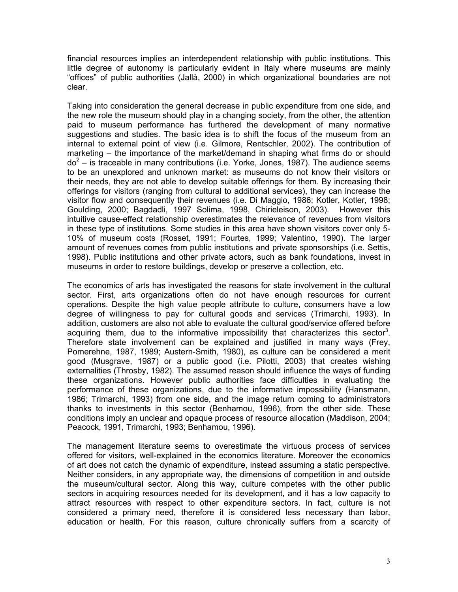financial resources implies an interdependent relationship with public institutions. This little degree of autonomy is particularly evident in Italy where museums are mainly "offices" of public authorities (Jallà, 2000) in which organizational boundaries are not clear.

Taking into consideration the general decrease in public expenditure from one side, and the new role the museum should play in a changing society, from the other, the attention paid to museum performance has furthered the development of many normative suggestions and studies. The basic idea is to shift the focus of the museum from an internal to external point of view (i.e. Gilmore, Rentschler, 2002). The contribution of marketing – the importance of the market/demand in shaping what firms do or should  $do^2$  $do^2$  – is traceable in many contributions (i.e. Yorke, Jones, 1987). The audience seems to be an unexplored and unknown market: as museums do not know their visitors or their needs, they are not able to develop suitable offerings for them. By increasing their offerings for visitors (ranging from cultural to additional services), they can increase the visitor flow and consequently their revenues (i.e. Di Maggio, 1986; Kotler, Kotler, 1998; Goulding, 2000; Bagdadli, 1997 Solima, 1998, Chirieleison, 2003). However this intuitive cause-effect relationship overestimates the relevance of revenues from visitors in these type of institutions. Some studies in this area have shown visitors cover only 5- 10% of museum costs (Rosset, 1991; Fourtes, 1999; Valentino, 1990). The larger amount of revenues comes from public institutions and private sponsorships (i.e. Settis, 1998). Public institutions and other private actors, such as bank foundations, invest in museums in order to restore buildings, develop or preserve a collection, etc.

The economics of arts has investigated the reasons for state involvement in the cultural sector. First, arts organizations often do not have enough resources for current operations. Despite the high value people attribute to culture, consumers have a low degree of willingness to pay for cultural goods and services (Trimarchi, 1993). In addition, customers are also not able to evaluate the cultural good/service offered before acquiring them, due to the informative impossibility that characterizes this sector<sup>3</sup>. Therefore state involvement can be explained and justified in many ways (Frey, Pomerehne, 1987, 1989; Austern-Smith, 1980), as culture can be considered a merit good (Musgrave, 1987) or a public good (i.e. Pilotti, 2003) that creates wishing externalities (Throsby, 1982). The assumed reason should influence the ways of funding these organizations. However public authorities face difficulties in evaluating the performance of these organizations, due to the informative impossibility (Hansmann, 1986; Trimarchi, 1993) from one side, and the image return coming to administrators thanks to investments in this sector (Benhamou, 1996), from the other side. These conditions imply an unclear and opaque process of resource allocation (Maddison, 2004; Peacock, 1991, Trimarchi, 1993; Benhamou, 1996).

The management literature seems to overestimate the virtuous process of services offered for visitors, well-explained in the economics literature. Moreover the economics of art does not catch the dynamic of expenditure, instead assuming a static perspective. Neither considers, in any appropriate way, the dimensions of competition in and outside the museum/cultural sector. Along this way, culture competes with the other public sectors in acquiring resources needed for its development, and it has a low capacity to attract resources with respect to other expenditure sectors. In fact, culture is not considered a primary need, therefore it is considered less necessary than labor, education or health. For this reason, culture chronically suffers from a scarcity of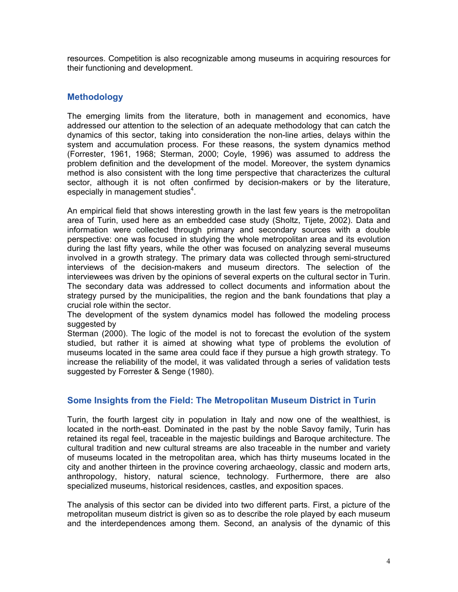resources. Competition is also recognizable among museums in acquiring resources for their functioning and development.

### **Methodology**

The emerging limits from the literature, both in management and economics, have addressed our attention to the selection of an adequate methodology that can catch the dynamics of this sector, taking into consideration the non-line arties, delays within the system and accumulation process. For these reasons, the system dynamics method (Forrester, 1961, 1968; Sterman, 2000; Coyle, 1996) was assumed to address the problem definition and the development of the model. Moreover, the system dynamics method is also consistent with the long time perspective that characterizes the cultural sector, although it is not often confirmed by decision-makers or by the literature, especially in management studies $4$ .

An empirical field that shows interesting growth in the last few years is the metropolitan area of Turin, used here as an embedded case study (Sholtz, Tijete, 2002). Data and information were collected through primary and secondary sources with a double perspective: one was focused in studying the whole metropolitan area and its evolution during the last fifty years, while the other was focused on analyzing several museums involved in a growth strategy. The primary data was collected through semi-structured interviews of the decision-makers and museum directors. The selection of the interviewees was driven by the opinions of several experts on the cultural sector in Turin. The secondary data was addressed to collect documents and information about the strategy pursed by the municipalities, the region and the bank foundations that play a crucial role within the sector.

The development of the system dynamics model has followed the modeling process suggested by

Sterman (2000). The logic of the model is not to forecast the evolution of the system studied, but rather it is aimed at showing what type of problems the evolution of museums located in the same area could face if they pursue a high growth strategy. To increase the reliability of the model, it was validated through a series of validation tests suggested by Forrester & Senge (1980).

#### **Some Insights from the Field: The Metropolitan Museum District in Turin**

Turin, the fourth largest city in population in Italy and now one of the wealthiest, is located in the north-east. Dominated in the past by the noble Savoy family, Turin has retained its regal feel, traceable in the majestic buildings and Baroque architecture. The cultural tradition and new cultural streams are also traceable in the number and variety of museums located in the metropolitan area, which has thirty museums located in the city and another thirteen in the province covering archaeology, classic and modern arts, anthropology, history, natural science, technology. Furthermore, there are also specialized museums, historical residences, castles, and exposition spaces.

The analysis of this sector can be divided into two different parts. First, a picture of the metropolitan museum district is given so as to describe the role played by each museum and the interdependences among them. Second, an analysis of the dynamic of this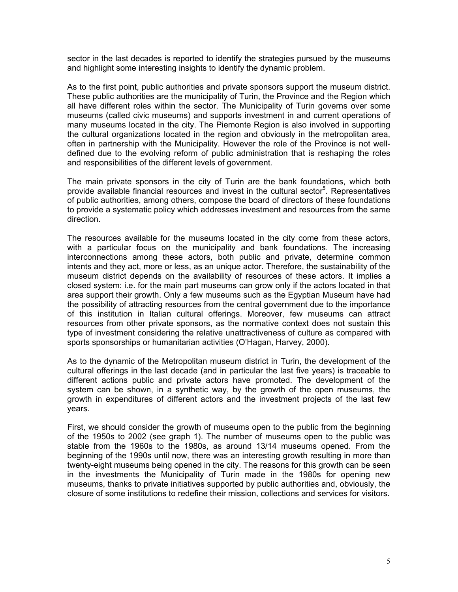sector in the last decades is reported to identify the strategies pursued by the museums and highlight some interesting insights to identify the dynamic problem.

As to the first point, public authorities and private sponsors support the museum district. These public authorities are the municipality of Turin, the Province and the Region which all have different roles within the sector. The Municipality of Turin governs over some museums (called civic museums) and supports investment in and current operations of many museums located in the city. The Piemonte Region is also involved in supporting the cultural organizations located in the region and obviously in the metropolitan area, often in partnership with the Municipality. However the role of the Province is not welldefined due to the evolving reform of public administration that is reshaping the roles and responsibilities of the different levels of government.

The main private sponsors in the city of Turin are the bank foundations, which both provide available financial resources and invest in the cultural sector<sup>[5](#page-21-4)</sup>. Representatives of public authorities, among others, compose the board of directors of these foundations to provide a systematic policy which addresses investment and resources from the same direction.

The resources available for the museums located in the city come from these actors, with a particular focus on the municipality and bank foundations. The increasing interconnections among these actors, both public and private, determine common intents and they act, more or less, as an unique actor. Therefore, the sustainability of the museum district depends on the availability of resources of these actors. It implies a closed system: i.e. for the main part museums can grow only if the actors located in that area support their growth. Only a few museums such as the Egyptian Museum have had the possibility of attracting resources from the central government due to the importance of this institution in Italian cultural offerings. Moreover, few museums can attract resources from other private sponsors, as the normative context does not sustain this type of investment considering the relative unattractiveness of culture as compared with sports sponsorships or humanitarian activities (O'Hagan, Harvey, 2000).

As to the dynamic of the Metropolitan museum district in Turin, the development of the cultural offerings in the last decade (and in particular the last five years) is traceable to different actions public and private actors have promoted. The development of the system can be shown, in a synthetic way, by the growth of the open museums, the growth in expenditures of different actors and the investment projects of the last few years.

First, we should consider the growth of museums open to the public from the beginning of the 1950s to 2002 (see graph 1). The number of museums open to the public was stable from the 1960s to the 1980s, as around 13/14 museums opened. From the beginning of the 1990s until now, there was an interesting growth resulting in more than twenty-eight museums being opened in the city. The reasons for this growth can be seen in the investments the Municipality of Turin made in the 1980s for opening new museums, thanks to private initiatives supported by public authorities and, obviously, the closure of some institutions to redefine their mission, collections and services for visitors.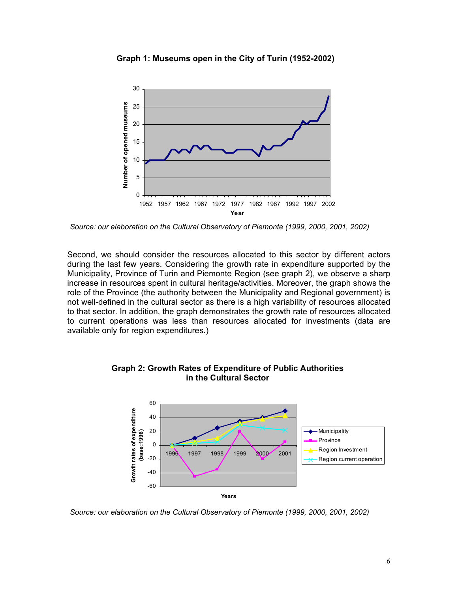

**Graph 1: Museums open in the City of Turin (1952-2002)** 

*Source: our elaboration on the Cultural Observatory of Piemonte (1999, 2000, 2001, 2002)* 

Second, we should consider the resources allocated to this sector by different actors during the last few years. Considering the growth rate in expenditure supported by the Municipality, Province of Turin and Piemonte Region (see graph 2), we observe a sharp increase in resources spent in cultural heritage/activities. Moreover, the graph shows the role of the Province (the authority between the Municipality and Regional government) is not well-defined in the cultural sector as there is a high variability of resources allocated to that sector. In addition, the graph demonstrates the growth rate of resources allocated to current operations was less than resources allocated for investments (data are available only for region expenditures.)



**Graph 2: Growth Rates of Expenditure of Public Authorities in the Cultural Sector** 

*Source: our elaboration on the Cultural Observatory of Piemonte (1999, 2000, 2001, 2002)*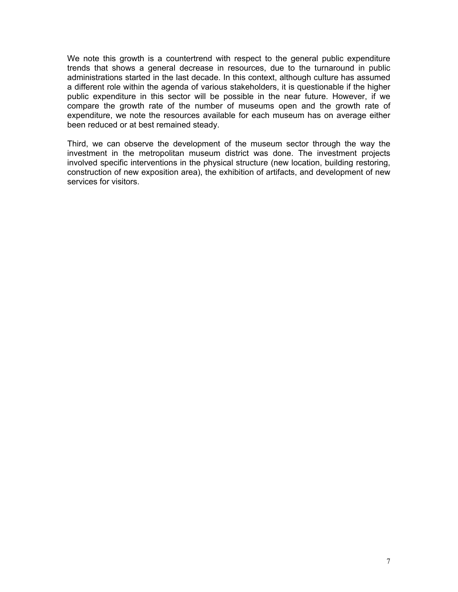We note this growth is a countertrend with respect to the general public expenditure trends that shows a general decrease in resources, due to the turnaround in public administrations started in the last decade. In this context, although culture has assumed a different role within the agenda of various stakeholders, it is questionable if the higher public expenditure in this sector will be possible in the near future. However, if we compare the growth rate of the number of museums open and the growth rate of expenditure, we note the resources available for each museum has on average either been reduced or at best remained steady.

Third, we can observe the development of the museum sector through the way the investment in the metropolitan museum district was done. The investment projects involved specific interventions in the physical structure (new location, building restoring, construction of new exposition area), the exhibition of artifacts, and development of new services for visitors.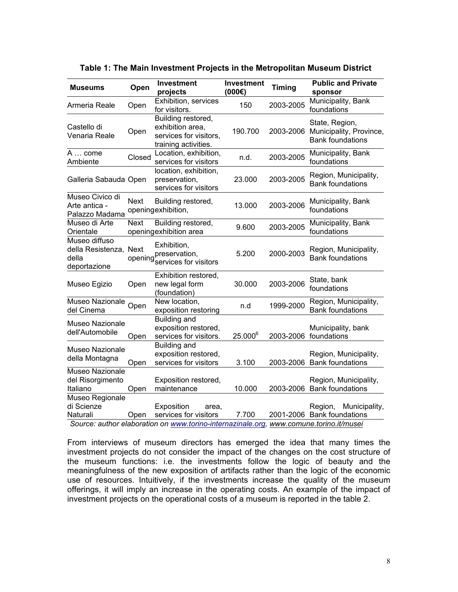| Museums                                                          | Open        | <b>Investment</b><br>projects                                                                                                          | <b>Investment</b><br>(000) | <b>Timing</b> | <b>Public and Private</b><br>sponsor                                 |  |
|------------------------------------------------------------------|-------------|----------------------------------------------------------------------------------------------------------------------------------------|----------------------------|---------------|----------------------------------------------------------------------|--|
| Armeria Reale                                                    | Open        | Exhibition, services<br>for visitors.                                                                                                  | 150                        | 2003-2005     | Municipality, Bank<br>foundations                                    |  |
| Castello di<br>Venaria Reale                                     | Open        | Building restored,<br>exhibition area,<br>services for visitors.<br>training activities.                                               | 190.700                    | 2003-2006     | State, Region,<br>Municipality, Province,<br><b>Bank foundations</b> |  |
| A  come<br>Ambiente                                              | Closed      | Location, exhibition,<br>services for visitors                                                                                         | n.d.                       | 2003-2005     | Municipality, Bank<br>foundations                                    |  |
| Galleria Sabauda Open                                            |             | location, exhibition,<br>preservation,<br>services for visitors                                                                        | 23.000                     | 2003-2005     | Region, Municipality,<br><b>Bank foundations</b>                     |  |
| Museo Civico di<br>Arte antica -<br>Palazzo Madama               | <b>Next</b> | Building restored,<br>openingexhibition,                                                                                               | 13.000                     | 2003-2006     | Municipality, Bank<br>foundations                                    |  |
| Museo di Arte<br>Orientale                                       | <b>Next</b> | Building restored,<br>openingexhibition area                                                                                           | 9.600                      | 2003-2005     | Municipality, Bank<br>foundations                                    |  |
| Museo diffuso<br>della Resistenza, Next<br>della<br>deportazione | opening     | Exhibition,<br>preservation,<br>services for visitors                                                                                  | 5.200                      | 2000-2003     | Region, Municipality,<br><b>Bank foundations</b>                     |  |
| Museo Egizio                                                     | Open        | Exhibition restored,<br>new legal form<br>(foundation)                                                                                 | 30.000                     | 2003-2006     | State, bank<br>foundations                                           |  |
| Museo Nazionale<br>del Cinema                                    | Open        | New location,<br>exposition restoring                                                                                                  | n.d                        | 1999-2000     | Region, Municipality,<br><b>Bank foundations</b>                     |  |
| Museo Nazionale<br>dell'Automobile                               | Open        | <b>Building and</b><br>exposition restored,<br>services for visitors.                                                                  | $25.000^6$                 | 2003-2006     | Municipality, bank<br>foundations                                    |  |
| Museo Nazionale<br>della Montagna                                | Open        | Building and<br>exposition restored,<br>services for visitors                                                                          | 3.100                      | 2003-2006     | Region, Municipality,<br><b>Bank foundations</b>                     |  |
| Museo Nazionale<br>del Risorgimento<br>Italiano                  | Open        | Exposition restored,<br>maintenance                                                                                                    | 10.000                     | 2003-2006     | Region, Municipality,<br><b>Bank foundations</b>                     |  |
| Museo Regionale<br>di Scienze<br>Naturali                        | Open        | Exposition<br>area.<br>services for visitors<br>Source: author elaboration on www.torino-internazinale.org, www.comune.torino.it/musei | 7.700                      |               | Municipality,<br>Region,<br>2001-2006 Bank foundations               |  |

**Table 1: The Main Investment Projects in the Metropolitan Museum District** 

From interviews of museum directors has emerged the idea that many times the investment projects do not consider the impact of the changes on the cost structure of the museum functions: i.e. the investments follow the logic of beauty and the meaningfulness of the new exposition of artifacts rather than the logic of the economic use of resources. Intuitively, if the investments increase the quality of the museum offerings, it will imply an increase in the operating costs. An example of the impact of investment projects on the operational costs of a museum is reported in the table 2.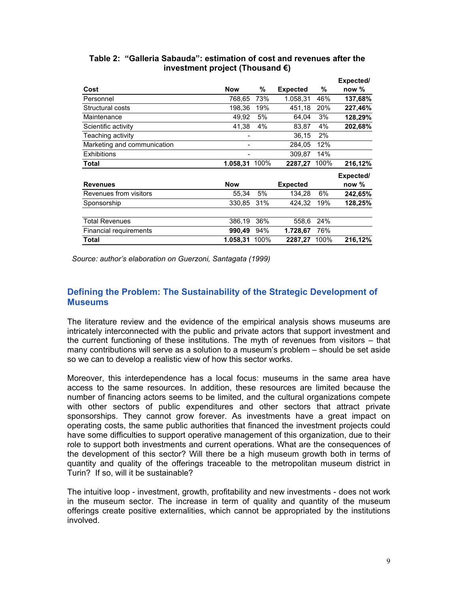|                             |            |      |                 |      | Expected/ |
|-----------------------------|------------|------|-----------------|------|-----------|
| Cost                        | <b>Now</b> | %    | <b>Expected</b> | %    | now $%$   |
| Personnel                   | 768,65     | 73%  | 1.058,31        | 46%  | 137,68%   |
| Structural costs            | 198,36     | 19%  | 451,18          | 20%  | 227,46%   |
| Maintenance                 | 49,92      | 5%   | 64,04           | 3%   | 128,29%   |
| Scientific activity         | 41,38      | 4%   | 83,87           | 4%   | 202,68%   |
| Teaching activity           |            |      | 36,15           | 2%   |           |
| Marketing and communication |            |      | 284,05          | 12%  |           |
| Exhibitions                 | -          |      | 309,87          | 14%  |           |
| <b>Total</b>                | 1.058,31   | 100% | 2287,27         | 100% | 216,12%   |
|                             |            |      |                 |      | Expected/ |
| <b>Revenues</b>             | <b>Now</b> |      | <b>Expected</b> |      | now %     |
| Revenues from visitors      | 55,34      | 5%   | 134,28          | 6%   | 242,65%   |
| Sponsorship                 | 330,85     | 31%  | 424,32          | 19%  | 128,25%   |
| <b>Total Revenues</b>       | 386,19     | 36%  | 558,6           | 24%  |           |
| Financial requirements      | 990,49     | 94%  | 1.728,67        | 76%  |           |
| Total                       | 1.058,31   | 100% | 2287,27         | 100% | 216,12%   |

### **Table 2: "Galleria Sabauda": estimation of cost and revenues after the investment project (Thousand €)**

*Source: author's elaboration on Guerzoni, Santagata (1999)* 

# **Defining the Problem: The Sustainability of the Strategic Development of Museums**

The literature review and the evidence of the empirical analysis shows museums are intricately interconnected with the public and private actors that support investment and the current functioning of these institutions. The myth of revenues from visitors – that many contributions will serve as a solution to a museum's problem – should be set aside so we can to develop a realistic view of how this sector works.

Moreover, this interdependence has a local focus: museums in the same area have access to the same resources. In addition, these resources are limited because the number of financing actors seems to be limited, and the cultural organizations compete with other sectors of public expenditures and other sectors that attract private sponsorships. They cannot grow forever. As investments have a great impact on operating costs, the same public authorities that financed the investment projects could have some difficulties to support operative management of this organization, due to their role to support both investments and current operations. What are the consequences of the development of this sector? Will there be a high museum growth both in terms of quantity and quality of the offerings traceable to the metropolitan museum district in Turin? If so, will it be sustainable?

The intuitive loop - investment, growth, profitability and new investments - does not work in the museum sector. The increase in term of quality and quantity of the museum offerings create positive externalities, which cannot be appropriated by the institutions involved.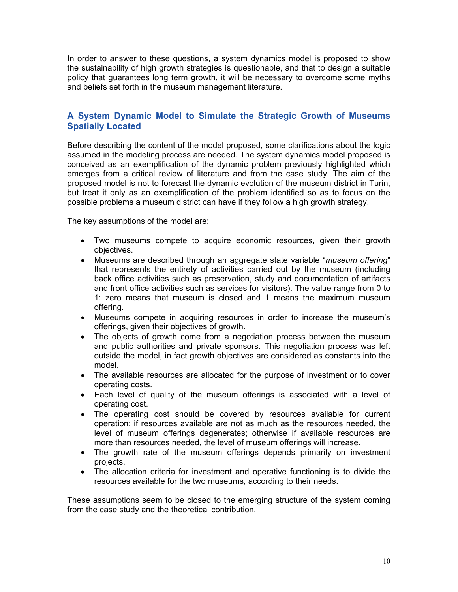In order to answer to these questions, a system dynamics model is proposed to show the sustainability of high growth strategies is questionable, and that to design a suitable policy that guarantees long term growth, it will be necessary to overcome some myths and beliefs set forth in the museum management literature.

# **A System Dynamic Model to Simulate the Strategic Growth of Museums Spatially Located**

Before describing the content of the model proposed, some clarifications about the logic assumed in the modeling process are needed. The system dynamics model proposed is conceived as an exemplification of the dynamic problem previously highlighted which emerges from a critical review of literature and from the case study. The aim of the proposed model is not to forecast the dynamic evolution of the museum district in Turin, but treat it only as an exemplification of the problem identified so as to focus on the possible problems a museum district can have if they follow a high growth strategy.

The key assumptions of the model are:

- Two museums compete to acquire economic resources, given their growth objectives.
- Museums are described through an aggregate state variable "*museum offering*" that represents the entirety of activities carried out by the museum (including back office activities such as preservation, study and documentation of artifacts and front office activities such as services for visitors). The value range from 0 to 1: zero means that museum is closed and 1 means the maximum museum offering.
- Museums compete in acquiring resources in order to increase the museum's offerings, given their objectives of growth.
- The objects of growth come from a negotiation process between the museum and public authorities and private sponsors. This negotiation process was left outside the model, in fact growth objectives are considered as constants into the model.
- The available resources are allocated for the purpose of investment or to cover operating costs.
- Each level of quality of the museum offerings is associated with a level of operating cost.
- The operating cost should be covered by resources available for current operation: if resources available are not as much as the resources needed, the level of museum offerings degenerates; otherwise if available resources are more than resources needed, the level of museum offerings will increase.
- The growth rate of the museum offerings depends primarily on investment projects.
- The allocation criteria for investment and operative functioning is to divide the resources available for the two museums, according to their needs.

These assumptions seem to be closed to the emerging structure of the system coming from the case study and the theoretical contribution.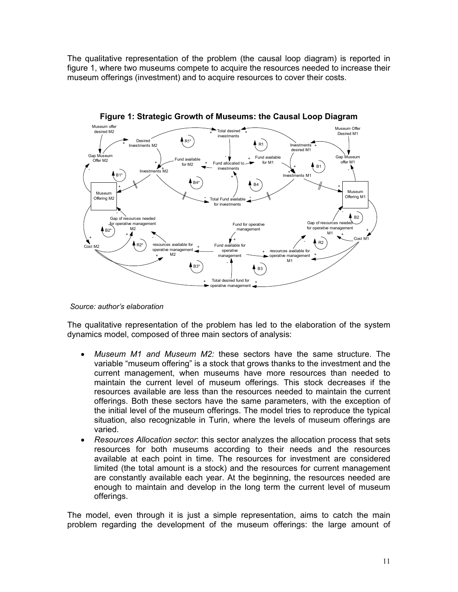The qualitative representation of the problem (the causal loop diagram) is reported in figure 1, where two museums compete to acquire the resources needed to increase their museum offerings (investment) and to acquire resources to cover their costs.



**Figure 1: Strategic Growth of Museums: the Causal Loop Diagram** 

The qualitative representation of the problem has led to the elaboration of the system dynamics model, composed of three main sectors of analysis:

- *Museum M1 and Museum M2:* these sectors have the same structure. The variable "museum offering" is a stock that grows thanks to the investment and the current management, when museums have more resources than needed to maintain the current level of museum offerings. This stock decreases if the resources available are less than the resources needed to maintain the current offerings. Both these sectors have the same parameters, with the exception of the initial level of the museum offerings. The model tries to reproduce the typical situation, also recognizable in Turin, where the levels of museum offerings are varied.
- *Resources Allocation sector*: this sector analyzes the allocation process that sets resources for both museums according to their needs and the resources available at each point in time. The resources for investment are considered limited (the total amount is a stock) and the resources for current management are constantly available each year. At the beginning, the resources needed are enough to maintain and develop in the long term the current level of museum offerings.

The model, even through it is just a simple representation, aims to catch the main problem regarding the development of the museum offerings: the large amount of

*Source: author's elaboration*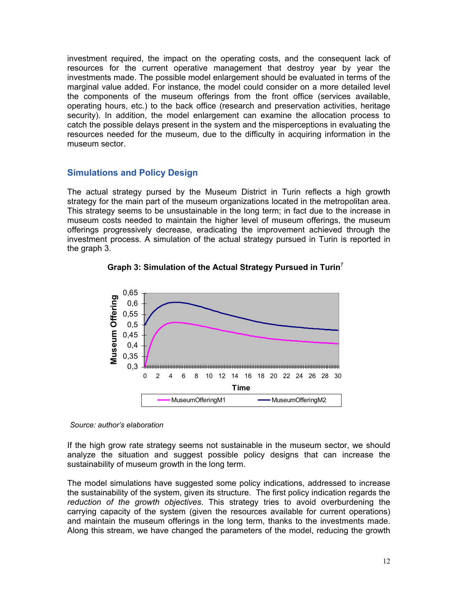investment required, the impact on the operating costs, and the consequent lack of resources for the current operative management that destroy year by year the investments made. The possible model enlargement should be evaluated in terms of the marginal value added. For instance, the model could consider on a more detailed level the components of the museum offerings from the front office (services available, operating hours, etc.) to the back office (research and preservation activities, heritage security). In addition, the model enlargement can examine the allocation process to catch the possible delays present in the system and the misperceptions in evaluating the resources needed for the museum, due to the difficulty in acquiring information in the museum sector.

#### **Simulations and Policy Design**

The actual strategy pursed by the Museum District in Turin reflects a high growth strategy for the main part of the museum organizations located in the metropolitan area. This strategy seems to be unsustainable in the long term; in fact due to the increase in museum costs needed to maintain the higher level of museum offerings, the museum offerings progressively decrease, eradicating the improvement achieved through the investment process. A simulation of the actual strategy pursued in Turin is reported in the graph 3.





*Source: author's elaboration* 

If the high grow rate strategy seems not sustainable in the museum sector, we should analyze the situation and suggest possible policy designs that can increase the sustainability of museum growth in the long term.

The model simulations have suggested some policy indications, addressed to increase the sustainability of the system, given its structure. The first policy indication regards the *reduction of the growth objectives*. This strategy tries to avoid overburdening the carrying capacity of the system (given the resources available for current operations) and maintain the museum offerings in the long term, thanks to the investments made. Along this stream, we have changed the parameters of the model, reducing the growth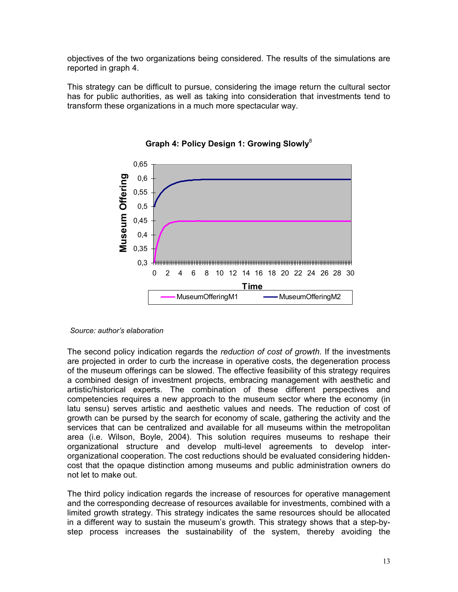objectives of the two organizations being considered. The results of the simulations are reported in graph 4.

This strategy can be difficult to pursue, considering the image return the cultural sector has for public authorities, as well as taking into consideration that investments tend to transform these organizations in a much more spectacular way.





*Source: author's elaboration* 

The second policy indication regards the *reduction of cost of growth*. If the investments are projected in order to curb the increase in operative costs, the degeneration process of the museum offerings can be slowed. The effective feasibility of this strategy requires a combined design of investment projects, embracing management with aesthetic and artistic/historical experts. The combination of these different perspectives and competencies requires a new approach to the museum sector where the economy (in latu sensu) serves artistic and aesthetic values and needs. The reduction of cost of growth can be pursed by the search for economy of scale, gathering the activity and the services that can be centralized and available for all museums within the metropolitan area (i.e. Wilson, Boyle, 2004). This solution requires museums to reshape their organizational structure and develop multi-level agreements to develop interorganizational cooperation. The cost reductions should be evaluated considering hiddencost that the opaque distinction among museums and public administration owners do not let to make out.

The third policy indication regards the increase of resources for operative management and the corresponding decrease of resources available for investments, combined with a limited growth strategy. This strategy indicates the same resources should be allocated in a different way to sustain the museum's growth. This strategy shows that a step-bystep process increases the sustainability of the system, thereby avoiding the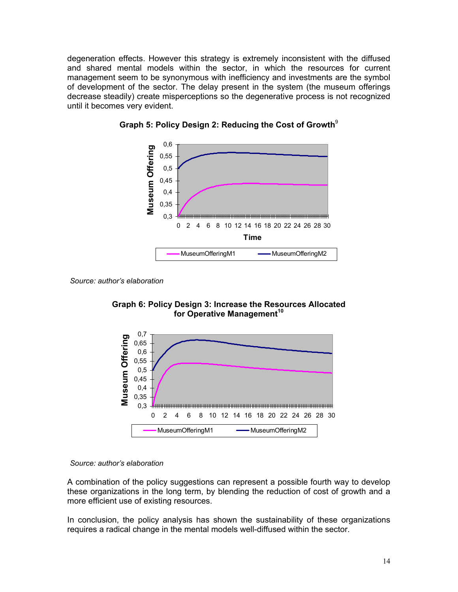degeneration effects. However this strategy is extremely inconsistent with the diffused and shared mental models within the sector, in which the resources for current management seem to be synonymous with inefficiency and investments are the symbol of development of the sector. The delay present in the system (the museum offerings decrease steadily) create misperceptions so the degenerative process is not recognized until it becomes very evident.





*Source: author's elaboration*





#### *Source: author's elaboration*

A combination of the policy suggestions can represent a possible fourth way to develop these organizations in the long term, by blending the reduction of cost of growth and a more efficient use of existing resources.

In conclusion, the policy analysis has shown the sustainability of these organizations requires a radical change in the mental models well-diffused within the sector.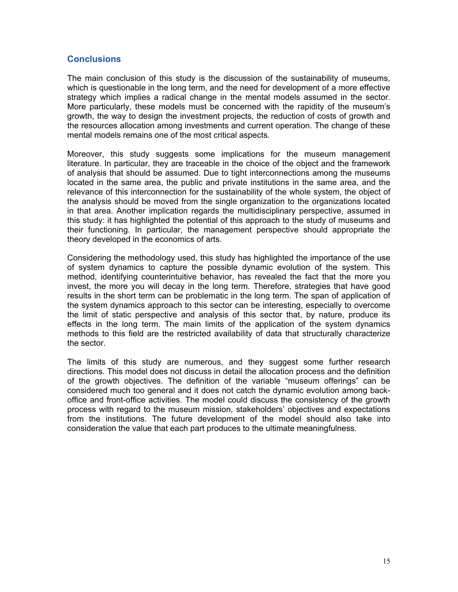### **Conclusions**

The main conclusion of this study is the discussion of the sustainability of museums, which is questionable in the long term, and the need for development of a more effective strategy which implies a radical change in the mental models assumed in the sector. More particularly, these models must be concerned with the rapidity of the museum's growth, the way to design the investment projects, the reduction of costs of growth and the resources allocation among investments and current operation. The change of these mental models remains one of the most critical aspects.

Moreover, this study suggests some implications for the museum management literature. In particular, they are traceable in the choice of the object and the framework of analysis that should be assumed. Due to tight interconnections among the museums located in the same area, the public and private institutions in the same area, and the relevance of this interconnection for the sustainability of the whole system, the object of the analysis should be moved from the single organization to the organizations located in that area. Another implication regards the multidisciplinary perspective, assumed in this study: it has highlighted the potential of this approach to the study of museums and their functioning. In particular, the management perspective should appropriate the theory developed in the economics of arts.

Considering the methodology used, this study has highlighted the importance of the use of system dynamics to capture the possible dynamic evolution of the system. This method, identifying counterintuitive behavior, has revealed the fact that the more you invest, the more you will decay in the long term. Therefore, strategies that have good results in the short term can be problematic in the long term. The span of application of the system dynamics approach to this sector can be interesting, especially to overcome the limit of static perspective and analysis of this sector that, by nature, produce its effects in the long term. The main limits of the application of the system dynamics methods to this field are the restricted availability of data that structurally characterize the sector.

The limits of this study are numerous, and they suggest some further research directions. This model does not discuss in detail the allocation process and the definition of the growth objectives. The definition of the variable "museum offerings" can be considered much too general and it does not catch the dynamic evolution among backoffice and front-office activities. The model could discuss the consistency of the growth process with regard to the museum mission, stakeholders' objectives and expectations from the institutions. The future development of the model should also take into consideration the value that each part produces to the ultimate meaningfulness.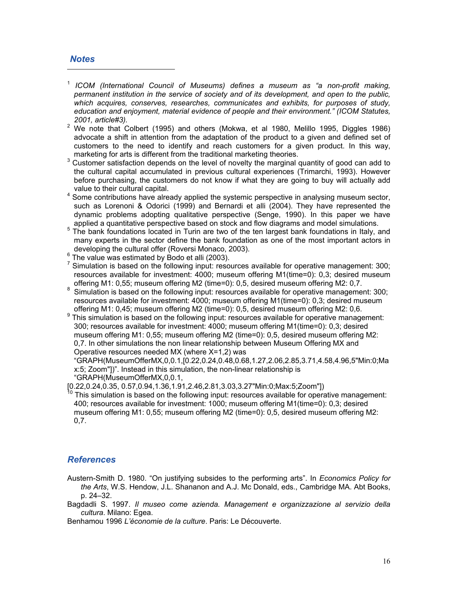#### *Notes*

 $\overline{a}$ 

- <sup>1</sup> *ICOM (International Council of Museums) defines a museum as "a non-profit making, permanent institution in the service of society and of its development, and open to the public, which acquires, conserves, researches, communicates and exhibits, for purposes of study, education and enjoyment, material evidence of people and their environment." (ICOM Statutes,*
- *2001, article#3).* <sup>2</sup> We note that Colbert (1995) and others (Mokwa, et al 1980, Melillo 1995, Diggles 1986) advocate a shift in attention from the adaptation of the product to a given and defined set of customers to the need to identify and reach customers for a given product. In this way, marketing for arts is different from the traditional marketing theories.
- $3$  Customer satisfaction depends on the level of novelty the marginal quantity of good can add to the cultural capital accumulated in previous cultural experiences (Trimarchi, 1993). However before purchasing, the customers do not know if what they are going to buy will actually add value to their cultural capital. 4
- <sup>4</sup> Some contributions have already applied the systemic perspective in analysing museum sector, such as Lorenoni & Odorici (1999) and Bernardi et alli (2004). They have represented the dynamic problems adopting qualitative perspective (Senge, 1990). In this paper we have
- applied a quantitative perspective based on stock and flow diagrams and model simulations.<br><sup>5</sup> The bank foundations located in Turin are two of the ten largest bank foundations in Italy, and many experts in the sector define the bank foundation as one of the most important actors in developing the cultural offer (Roversi Monaco, 2003).<br><sup>6</sup> The value was estimated by Bodo et alli (2003).
- 
- $<sup>7</sup>$  Simulation is based on the following input: resources available for operative management: 300;</sup> resources available for investment: 4000; museum offering M1(time=0): 0,3; desired museum offering M1: 0,55; museum offering M2 (time=0): 0,5, desired museum offering M2: 0,7. 8
- $8$  Simulation is based on the following input: resources available for operative management: 300; resources available for investment: 4000; museum offering M1(time=0): 0,3; desired museum offering M1: 0,45; museum offering M2 (time=0): 0,5, desired museum offering M2: 0,6.  $\frac{9}{2}$  This simulation is based on the following input: resources available for operative management
- This simulation is based on the following input: resources available for operative management: 300; resources available for investment: 4000; museum offering M1(time=0): 0,3; desired museum offering M1: 0,55; museum offering M2 (time=0): 0,5, desired museum offering M2: 0,7. In other simulations the non linear relationship between Museum Offering MX and Operative resources needed MX (where X=1,2) was

"GRAPH(MuseumOfferMX,0,0.1,[0.22,0.24,0.48,0.68,1.27,2.06,2.85,3.71,4.58,4.96,5"Min:0;Ma x:5; Zoom"])". Instead in this simulation, the non-linear relationship is

"GRAPH(MuseumOfferMX,0,0.1,

<sup>10</sup> This simulation is based on the following input: resources available for operative management: 400; resources available for investment: 1000; museum offering M1(time=0): 0,3; desired museum offering M1: 0,55; museum offering M2 (time=0): 0,5, desired museum offering M2: 0,7.

#### *References*

Austern-Smith D. 1980. "On justifying subsides to the performing arts". In *Economics Policy for the Arts*, W.S. Hendow, J.L. Shananon and A.J. Mc Donald, eds., Cambridge MA. Abt Books, p. 24–32.

Bagdadli S. 1997. *Il museo come azienda. Management e organizzazione al servizio della cultura*. Milano: Egea.

Benhamou 1996 *L'économie de la culture*. Paris: Le Découverte.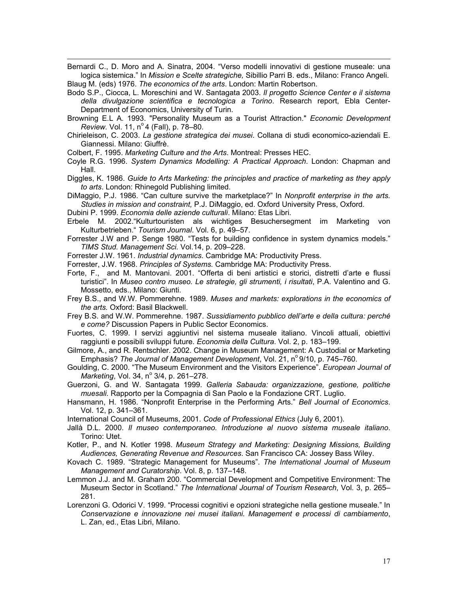Bernardi C., D. Moro and A. Sinatra, 2004. "Verso modelli innovativi di gestione museale: una logica sistemica." In *Mission e Scelte strategiche,* Sibillio Parri B. eds., Milano: Franco Angeli. Blaug M. (eds) 1976. *The economics of the arts*. London: Martin Robertson.

Bodo S.P., Ciocca, L. Moreschini and W. Santagata 2003. *Il progetto Science Center e il sistema della divulgazione scientifica e tecnologica a Torino*. Research report, Ebla Center-Department of Economics, University of Turin.

Browning E.L A. 1993. "Personality Museum as a Tourist Attraction." *Economic Development Review.* Vol. 11, n<sup>o</sup> 4 (Fall), p. 78–80.

Chirieleison, C. 2003. *La gestione strategica dei musei*. Collana di studi economico-aziendali E. Giannessi. Milano: Giuffrè.

Colbert, F. 1995. *Marketing Culture and the Arts*. Montreal: Presses HEC.

 $\overline{a}$ 

Coyle R.G. 1996. *System Dynamics Modelling: A Practical Approach*. London: Chapman and Hall.

Diggles, K. 1986. *Guide to Arts Marketing: the principles and practice of marketing as they apply to arts*. London: Rhinegold Publishing limited.

DiMaggio, P.J. 1986. "Can culture survive the marketplace?" In *Nonprofit enterprise in the arts. Studies in mission and constraint,* P.J. DiMaggio, ed. Oxford University Press, Oxford.

Dubini P. 1999. *Economia delle aziende culturali*. Milano: Etas Libri.

Erbele M. 2002."Kulturtouristen als wichtiges Besuchersegment im Marketing von Kulturbetrieben." *Tourism Journal*. Vol. 6, p. 49–57.

Forrester J.W and P. Senge 1980. "Tests for building confidence in system dynamics models." *TIMS Stud. Management Sci.* Vol.14, p. 209–228.

Forrester J.W. 1961. *Industrial dynamics*. Cambridge MA: Productivity Press.

Forrester, J.W. 1968. *Principles of Systems.* Cambridge MA: Productivity Press.

- Forte, F., and M. Mantovani. 2001. "Offerta di beni artistici e storici, distretti d'arte e flussi turistici". In *Museo contro museo. Le strategie, gli strumenti, i risultati*, P.A. Valentino and G. Mossetto, eds., Milano: Giunti.
- Frey B.S., and W.W. Pommerehne. 1989. *Muses and markets: explorations in the economics of the arts.* Oxford: Basil Blackwell.
- Frey B.S. and W.W. Pommerehne. 1987. *Sussidiamento pubblico dell'arte e della cultura: perché e come?* Discussion Papers in Public Sector Economics.
- Fuortes, C. 1999. I servizi aggiuntivi nel sistema museale italiano. Vincoli attuali, obiettivi raggiunti e possibili sviluppi future. *Economia della Cultura*. Vol. 2, p. 183–199.
- Gilmore, A., and R. Rentschler. 2002. Change in Museum Management: A Custodial or Marketing Emphasis? *The Journal of Management Development*, Vol. 21, n<sup>o</sup> 9/10, p. 745–760.
- Goulding, C. 2000. "The Museum Environment and the Visitors Experience". *European Journal of Marketing, Vol. 34, nº 3/4, p. 261-278.*

Guerzoni, G. and W. Santagata 1999. *Galleria Sabauda: organizzazione, gestione, politiche muesali.* Rapporto per la Compagnia di San Paolo e la Fondazione CRT. Luglio.

Hansmann, H. 1986. "Nonprofit Enterprise in the Performing Arts." *Bell Journal of Economics*. Vol. 12, p. 341–361.

International Council of Museums, 2001. *Code of Professional Ethics* (July 6, 2001).

Jallà D.L. 2000. *Il museo contemporaneo. Introduzione al nuovo sistema museale italiano*. Torino: Utet.

- Kotler, P., and N. Kotler 1998. *Museum Strategy and Marketing: Designing Missions, Building Audiences, Generating Revenue and Resources*. San Francisco CA: Jossey Bass Wiley.
- Kovach C. 1989. "Strategic Management for Museums". *The International Journal of Museum Management and Curatorship*. Vol. 8, p. 137–148.
- Lemmon J.J. and M. Graham 200. "Commercial Development and Competitive Environment: The Museum Sector in Scotland." *The International Journal of Tourism Research*, Vol. 3, p. 265– 281.
- Lorenzoni G. Odorici V. 1999. "Processi cognitivi e opzioni strategiche nella gestione museale." In *Conservazione e innovazione nei musei italiani. Management e processi di cambiamento*, L. Zan, ed., Etas Libri, Milano.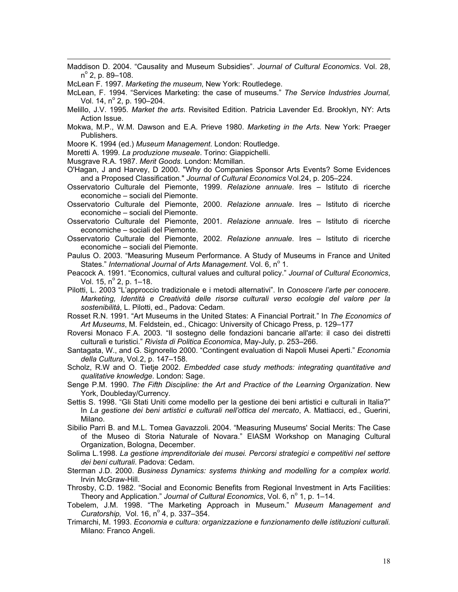Maddison D. 2004. "Causality and Museum Subsidies". *Journal of Cultural Economics*. Vol. 28, n<sup>o</sup> 2, p. 89–108.

McLean F. 1997. *Marketing the museum*, New York: Routledege.

- McLean, F. 1994. "Services Marketing: the case of museums." *The Service Industries Journal,*  Vol. 14, nº 2, p. 190–204.
- Melillo, J.V. 1995. *Market the arts*. Revisited Edition. Patricia Lavender Ed. Brooklyn, NY: Arts Action Issue.
- Mokwa, M.P., W.M. Dawson and E.A. Prieve 1980. *Marketing in the Arts*. New York: Praeger Publishers.
- Moore K. 1994 (ed.) *Museum Management*. London: Routledge.

Moretti A. 1999. *La produzione museale*. Torino: Giappichelli.

Musgrave R.A. 1987. *Merit Goods*. London: Mcmillan.

 $\overline{a}$ 

O'Hagan, J and Harvey, D 2000. "Why do Companies Sponsor Arts Events? Some Evidences and a Proposed Classification." *Journal of Cultural Economics* Vol.24, p. 205–224.

Osservatorio Culturale del Piemonte, 1999. *Relazione annuale*. Ires – Istituto di ricerche economiche – sociali del Piemonte.

Osservatorio Culturale del Piemonte, 2000. *Relazione annuale*. Ires – Istituto di ricerche economiche – sociali del Piemonte.

Osservatorio Culturale del Piemonte, 2001. *Relazione annuale*. Ires – Istituto di ricerche economiche – sociali del Piemonte.

Osservatorio Culturale del Piemonte, 2002. *Relazione annuale*. Ires – Istituto di ricerche economiche – sociali del Piemonte.

Paulus O. 2003. "Measuring Museum Performance. A Study of Museums in France and United States." International Journal of Arts Management. Vol. 6, nº 1.

- Peacock A. 1991. "Economics, cultural values and cultural policy." *Journal of Cultural Economics*, Vol. 15, nº 2, p. 1–18.
- Pilotti, L. 2003 "L'approccio tradizionale e i metodi alternativi". In *Conoscere l'arte per conocere. Marketing, Identità e Creatività delle risorse culturali verso ecologie del valore per la sostenibilità*, L. Pilotti, ed., Padova: Cedam.
- Rosset R.N. 1991. "Art Museums in the United States: A Financial Portrait." In *The Economics of Art Museums*, M. Feldstein, ed., Chicago: University of Chicago Press, p. 129–177

Roversi Monaco F.A. 2003. "Il sostegno delle fondazioni bancarie all'arte: il caso dei distretti culturali e turistici." *Rivista di Politica Economica*, May-July, p. 253–266.

- Santagata, W., and G. Signorello 2000. "Contingent evaluation di Napoli Musei Aperti." *Economia della Cultura*, Vol.2, p. 147–158.
- Scholz, R.W and O. Tietje 2002. *Embedded case study methods: integrating quantitative and qualitative knowledge.* London: Sage.
- Senge P.M. 1990. *The Fifth Discipline: the Art and Practice of the Learning Organization*. New York, Doubleday/Currency.
- Settis S. 1998. "Gli Stati Uniti come modello per la gestione dei beni artistici e culturali in Italia?" In *La gestione dei beni artistici e culturali nell'ottica del mercato*, A. Mattiacci, ed., Guerini, Milano.
- Sibilio Parri B. and M.L. Tomea Gavazzoli. 2004. "Measuring Museums' Social Merits: The Case of the Museo di Storia Naturale of Novara." EIASM Workshop on Managing Cultural Organization, Bologna, December.
- Solima L.1998. *La gestione imprenditoriale dei musei. Percorsi strategici e competitivi nel settore dei beni culturali*. Padova: Cedam.
- Sterman J.D. 2000. *Business Dynamics: systems thinking and modelling for a complex world*. Irvin McGraw-Hill.
- Throsby, C.D. 1982. "Social and Economic Benefits from Regional Investment in Arts Facilities: Theory and Application." Journal of Cultural Economics, Vol. 6, nº 1, p. 1–14.
- Tobelem, J.M. 1998. "The Marketing Approach in Museum." *Museum Management and Curatorship, Vol.* 16,  $n^{\circ}$  4, p. 337–354.
- Trimarchi, M. 1993. *Economia e cultura: organizzazione e funzionamento delle istituzioni culturali.* Milano: Franco Angeli.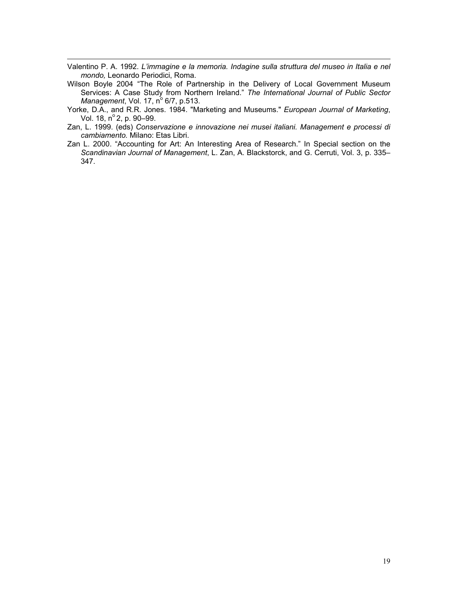Valentino P. A. 1992. *L'immagine e la memoria. Indagine sulla struttura del museo in Italia e nel mondo,* Leonardo Periodici, Roma.

 $\overline{a}$ 

Wilson Boyle 2004 "The Role of Partnership in the Delivery of Local Government Museum Services: A Case Study from Northern Ireland." *The International Journal of Public Sector Management, Vol. 17, nº 6/7, p.513.* 

Yorke, D.A., and R.R. Jones. 1984. "Marketing and Museums." *European Journal of Marketing*, Vol. 18, nº 2, p. 90-99.

- Zan, L. 1999. (eds) *Conservazione e innovazione nei musei italiani. Management e processi di cambiamento.* Milano: Etas Libri.
- Zan L. 2000. "Accounting for Art: An Interesting Area of Research." In Special section on the *Scandinavian Journal of Management*, L. Zan, A. Blackstorck, and G. Cerruti, Vol. 3, p. 335– 347.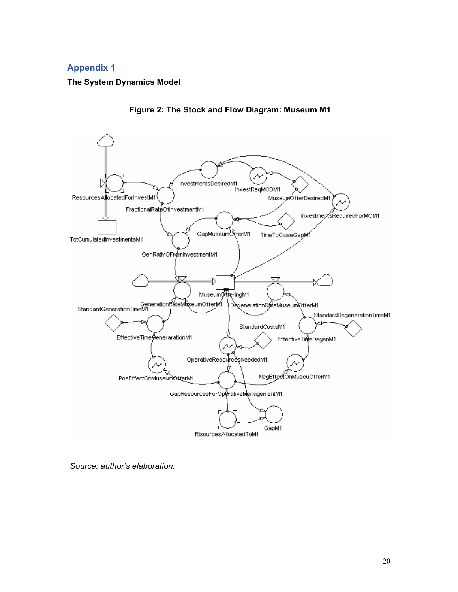#### $\overline{a}$ **Appendix 1**

# **The System Dynamics Model**



**Figure 2: The Stock and Flow Diagram: Museum M1** 

*Source: author's elaboration.*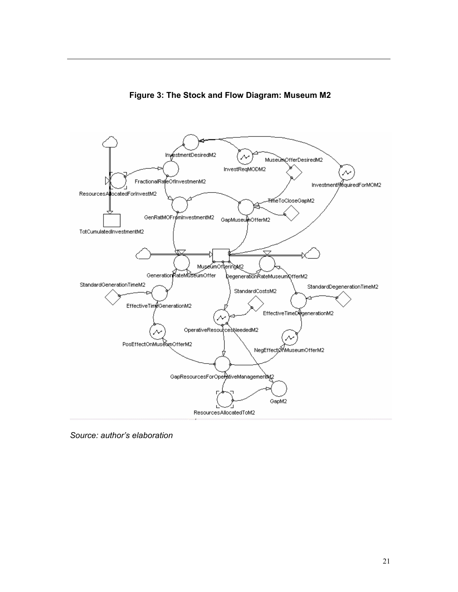



*Source: author's elaboration* 

 $\overline{a}$